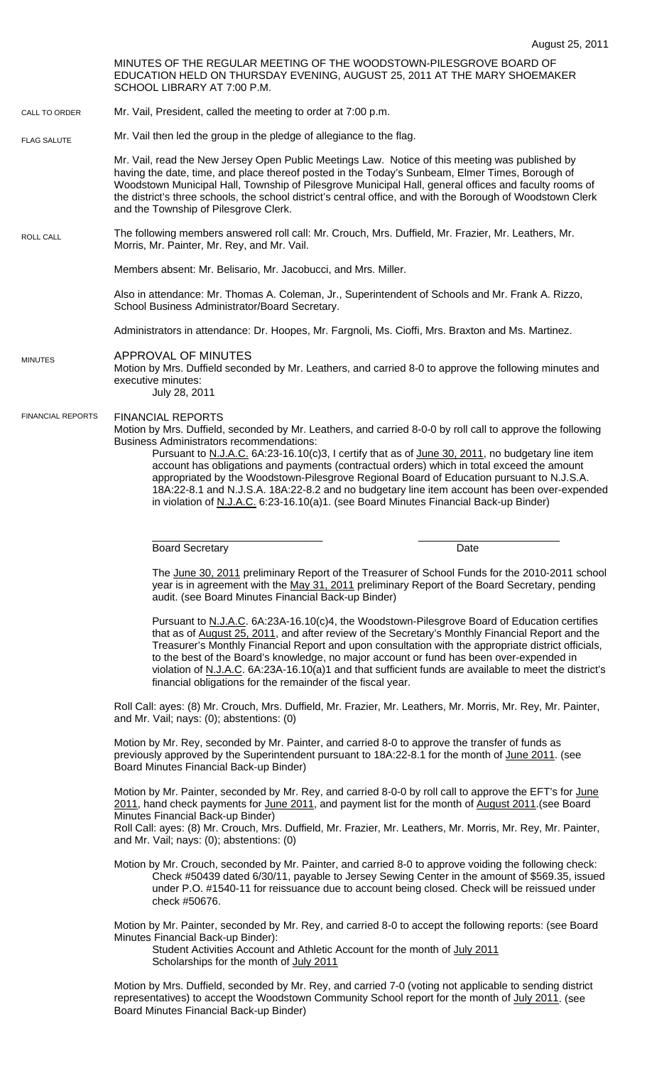MINUTES OF THE REGULAR MEETING OF THE WOODSTOWN-PILESGROVE BOARD OF EDUCATION HELD ON THURSDAY EVENING, AUGUST 25, 2011 AT THE MARY SHOEMAKER SCHOOL LIBRARY AT 7:00 P.M. Mr. Vail, President, called the meeting to order at 7:00 p.m. Mr. Vail then led the group in the pledge of allegiance to the flag. Mr. Vail, read the New Jersey Open Public Meetings Law. Notice of this meeting was published by having the date, time, and place thereof posted in the Today's Sunbeam, Elmer Times, Borough of Woodstown Municipal Hall, Township of Pilesgrove Municipal Hall, general offices and faculty rooms of the district's three schools, the school district's central office, and with the Borough of Woodstown Clerk and the Township of Pilesgrove Clerk. The following members answered roll call: Mr. Crouch, Mrs. Duffield, Mr. Frazier, Mr. Leathers, Mr. Morris, Mr. Painter, Mr. Rey, and Mr. Vail. Members absent: Mr. Belisario, Mr. Jacobucci, and Mrs. Miller. Also in attendance: Mr. Thomas A. Coleman, Jr., Superintendent of Schools and Mr. Frank A. Rizzo, School Business Administrator/Board Secretary. Administrators in attendance: Dr. Hoopes, Mr. Fargnoli, Ms. Cioffi, Mrs. Braxton and Ms. Martinez. APPROVAL OF MINUTES Motion by Mrs. Duffield seconded by Mr. Leathers, and carried 8-0 to approve the following minutes and executive minutes: July 28, 2011 FINANCIAL REPORTS Motion by Mrs. Duffield, seconded by Mr. Leathers, and carried 8-0-0 by roll call to approve the following Business Administrators recommendations: Pursuant to N.J.A.C. 6A:23-16.10(c)3, I certify that as of June 30, 2011, no budgetary line item account has obligations and payments (contractual orders) which in total exceed the amount appropriated by the Woodstown-Pilesgrove Regional Board of Education pursuant to N.J.S.A. 18A:22-8.1 and N.J.S.A. 18A:22-8.2 and no budgetary line item account has been over-expended in violation of N.J.A.C. 6:23-16.10(a)1. (see Board Minutes Financial Back-up Binder) \_\_\_\_\_\_\_\_\_\_\_\_\_\_\_\_\_\_\_\_\_\_\_\_\_\_\_\_\_ \_\_\_\_\_\_\_\_\_\_\_\_\_\_\_\_\_\_\_\_\_\_\_\_ Board Secretary Date **Date** The June 30, 2011 preliminary Report of the Treasurer of School Funds for the 2010-2011 school year is in agreement with the May 31, 2011 preliminary Report of the Board Secretary, pending audit. (see Board Minutes Financial Back-up Binder) Pursuant to N.J.A.C. 6A:23A-16.10(c)4, the Woodstown-Pilesgrove Board of Education certifies that as of August 25, 2011, and after review of the Secretary's Monthly Financial Report and the Treasurer's Monthly Financial Report and upon consultation with the appropriate district officials, to the best of the Board's knowledge, no major account or fund has been over-expended in violation of N.J.A.C. 6A:23A-16.10(a)1 and that sufficient funds are available to meet the district's financial obligations for the remainder of the fiscal year. Roll Call: ayes: (8) Mr. Crouch, Mrs. Duffield, Mr. Frazier, Mr. Leathers, Mr. Morris, Mr. Rey, Mr. Painter, and Mr. Vail; nays: (0); abstentions: (0) Motion by Mr. Rey, seconded by Mr. Painter, and carried 8-0 to approve the transfer of funds as previously approved by the Superintendent pursuant to 18A:22-8.1 for the month of June 2011. (see Board Minutes Financial Back-up Binder) Motion by Mr. Painter, seconded by Mr. Rey, and carried 8-0-0 by roll call to approve the EFT's for June 2011, hand check payments for June 2011, and payment list for the month of August 2011. (see Board Minutes Financial Back-up Binder) Roll Call: ayes: (8) Mr. Crouch, Mrs. Duffield, Mr. Frazier, Mr. Leathers, Mr. Morris, Mr. Rey, Mr. Painter, and Mr. Vail; nays: (0); abstentions: (0) Motion by Mr. Crouch, seconded by Mr. Painter, and carried 8-0 to approve voiding the following check: Check #50439 dated 6/30/11, payable to Jersey Sewing Center in the amount of \$569.35, issued under P.O. #1540-11 for reissuance due to account being closed. Check will be reissued under check #50676. Motion by Mr. Painter, seconded by Mr. Rey, and carried 8-0 to accept the following reports: (see Board CALL TO ORDER ROLL CALL FLAG SALUTE MINUTES FINANCIAL REPORTS

Minutes Financial Back-up Binder): Student Activities Account and Athletic Account for the month of July 2011 Scholarships for the month of July 2011

Motion by Mrs. Duffield, seconded by Mr. Rey, and carried 7-0 (voting not applicable to sending district representatives) to accept the Woodstown Community School report for the month of July 2011. (see Board Minutes Financial Back-up Binder)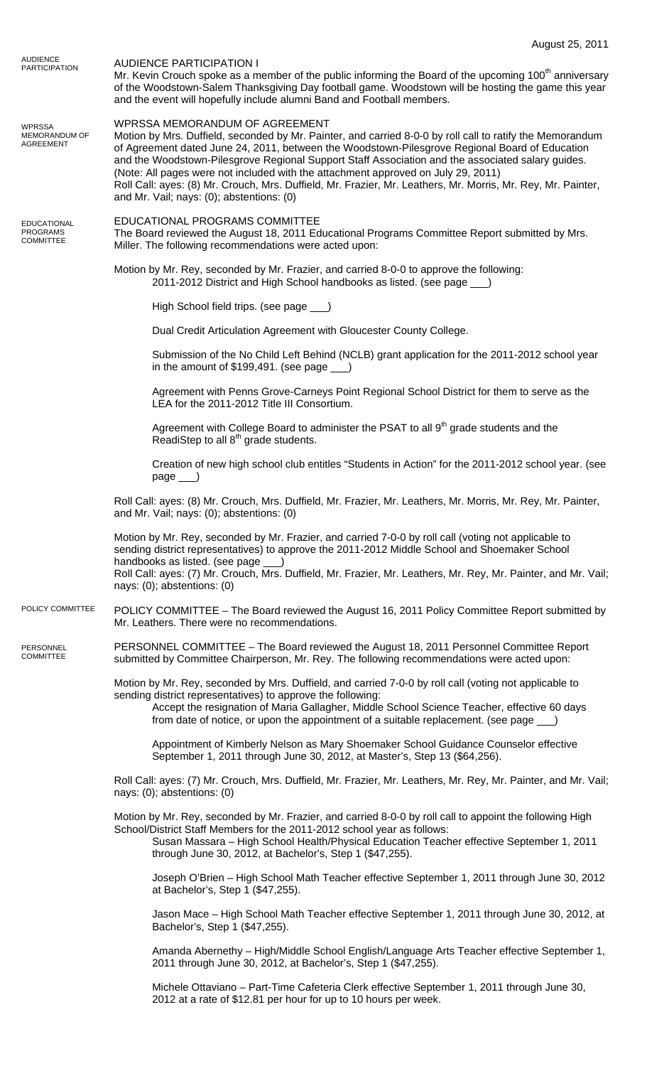|                                                           | August 25, 2011                                                                                                                                                                                                                                                                                                                                                                                                                                                                                                                                                                                      |
|-----------------------------------------------------------|------------------------------------------------------------------------------------------------------------------------------------------------------------------------------------------------------------------------------------------------------------------------------------------------------------------------------------------------------------------------------------------------------------------------------------------------------------------------------------------------------------------------------------------------------------------------------------------------------|
| <b>AUDIENCE</b><br><b>PARTICIPATION</b>                   | <b>AUDIENCE PARTICIPATION I</b><br>Mr. Kevin Crouch spoke as a member of the public informing the Board of the upcoming 100 <sup>th</sup> anniversary<br>of the Woodstown-Salem Thanksgiving Day football game. Woodstown will be hosting the game this year<br>and the event will hopefully include alumni Band and Football members.                                                                                                                                                                                                                                                               |
| <b>WPRSSA</b><br>MEMORANDUM OF<br>AGREEMENT               | WPRSSA MEMORANDUM OF AGREEMENT<br>Motion by Mrs. Duffield, seconded by Mr. Painter, and carried 8-0-0 by roll call to ratify the Memorandum<br>of Agreement dated June 24, 2011, between the Woodstown-Pilesgrove Regional Board of Education<br>and the Woodstown-Pilesgrove Regional Support Staff Association and the associated salary guides.<br>(Note: All pages were not included with the attachment approved on July 29, 2011)<br>Roll Call: ayes: (8) Mr. Crouch, Mrs. Duffield, Mr. Frazier, Mr. Leathers, Mr. Morris, Mr. Rey, Mr. Painter,<br>and Mr. Vail; nays: (0); abstentions: (0) |
| <b>EDUCATIONAL</b><br><b>PROGRAMS</b><br><b>COMMITTEE</b> | EDUCATIONAL PROGRAMS COMMITTEE<br>The Board reviewed the August 18, 2011 Educational Programs Committee Report submitted by Mrs.<br>Miller. The following recommendations were acted upon:                                                                                                                                                                                                                                                                                                                                                                                                           |
|                                                           | Motion by Mr. Rey, seconded by Mr. Frazier, and carried 8-0-0 to approve the following:<br>2011-2012 District and High School handbooks as listed. (see page __)                                                                                                                                                                                                                                                                                                                                                                                                                                     |
|                                                           | High School field trips. (see page ___)                                                                                                                                                                                                                                                                                                                                                                                                                                                                                                                                                              |
|                                                           | Dual Credit Articulation Agreement with Gloucester County College.                                                                                                                                                                                                                                                                                                                                                                                                                                                                                                                                   |
|                                                           | Submission of the No Child Left Behind (NCLB) grant application for the 2011-2012 school year<br>in the amount of $$199,491.$ (see page $\qquad$ )                                                                                                                                                                                                                                                                                                                                                                                                                                                   |
|                                                           | Agreement with Penns Grove-Carneys Point Regional School District for them to serve as the<br>LEA for the 2011-2012 Title III Consortium.                                                                                                                                                                                                                                                                                                                                                                                                                                                            |
|                                                           | Agreement with College Board to administer the PSAT to all 9 <sup>th</sup> grade students and the<br>ReadiStep to all 8 <sup>th</sup> grade students.                                                                                                                                                                                                                                                                                                                                                                                                                                                |
|                                                           | Creation of new high school club entitles "Students in Action" for the 2011-2012 school year. (see<br>$page$ <sub>___</sub> )                                                                                                                                                                                                                                                                                                                                                                                                                                                                        |
|                                                           | Roll Call: ayes: (8) Mr. Crouch, Mrs. Duffield, Mr. Frazier, Mr. Leathers, Mr. Morris, Mr. Rey, Mr. Painter,<br>and Mr. Vail; nays: (0); abstentions: (0)                                                                                                                                                                                                                                                                                                                                                                                                                                            |
|                                                           | Motion by Mr. Rey, seconded by Mr. Frazier, and carried 7-0-0 by roll call (voting not applicable to<br>sending district representatives) to approve the 2011-2012 Middle School and Shoemaker School<br>handbooks as listed. (see page ___)                                                                                                                                                                                                                                                                                                                                                         |
|                                                           | Roll Call: ayes: (7) Mr. Crouch, Mrs. Duffield, Mr. Frazier, Mr. Leathers, Mr. Rey, Mr. Painter, and Mr. Vail;<br>nays: (0); abstentions: (0)                                                                                                                                                                                                                                                                                                                                                                                                                                                        |
| POLICY COMMITTEE                                          | POLICY COMMITTEE – The Board reviewed the August 16, 2011 Policy Committee Report submitted by<br>Mr. Leathers. There were no recommendations.                                                                                                                                                                                                                                                                                                                                                                                                                                                       |
| PERSONNEL<br><b>COMMITTEE</b>                             | PERSONNEL COMMITTEE - The Board reviewed the August 18, 2011 Personnel Committee Report<br>submitted by Committee Chairperson, Mr. Rey. The following recommendations were acted upon:                                                                                                                                                                                                                                                                                                                                                                                                               |
|                                                           | Motion by Mr. Rey, seconded by Mrs. Duffield, and carried 7-0-0 by roll call (voting not applicable to<br>sending district representatives) to approve the following:                                                                                                                                                                                                                                                                                                                                                                                                                                |
|                                                           | Accept the resignation of Maria Gallagher, Middle School Science Teacher, effective 60 days<br>from date of notice, or upon the appointment of a suitable replacement. (see page __)                                                                                                                                                                                                                                                                                                                                                                                                                 |
|                                                           | Appointment of Kimberly Nelson as Mary Shoemaker School Guidance Counselor effective<br>September 1, 2011 through June 30, 2012, at Master's, Step 13 (\$64,256).                                                                                                                                                                                                                                                                                                                                                                                                                                    |
|                                                           | Roll Call: ayes: (7) Mr. Crouch, Mrs. Duffield, Mr. Frazier, Mr. Leathers, Mr. Rey, Mr. Painter, and Mr. Vail;<br>nays: (0); abstentions: (0)                                                                                                                                                                                                                                                                                                                                                                                                                                                        |
|                                                           | Motion by Mr. Rey, seconded by Mr. Frazier, and carried 8-0-0 by roll call to appoint the following High<br>School/District Staff Members for the 2011-2012 school year as follows:<br>Susan Massara - High School Health/Physical Education Teacher effective September 1, 2011<br>through June 30, 2012, at Bachelor's, Step 1 (\$47,255).                                                                                                                                                                                                                                                         |
|                                                           | Joseph O'Brien - High School Math Teacher effective September 1, 2011 through June 30, 2012<br>at Bachelor's, Step 1 (\$47,255).                                                                                                                                                                                                                                                                                                                                                                                                                                                                     |
|                                                           | Jason Mace - High School Math Teacher effective September 1, 2011 through June 30, 2012, at<br>Bachelor's, Step 1 (\$47,255).                                                                                                                                                                                                                                                                                                                                                                                                                                                                        |
|                                                           | Amanda Abernethy - High/Middle School English/Language Arts Teacher effective September 1,<br>2011 through June 30, 2012, at Bachelor's, Step 1 (\$47,255).                                                                                                                                                                                                                                                                                                                                                                                                                                          |
|                                                           | Michele Ottaviano - Part-Time Cafeteria Clerk effective September 1, 2011 through June 30,<br>2012 at a rate of \$12.81 per hour for up to 10 hours per week.                                                                                                                                                                                                                                                                                                                                                                                                                                        |
|                                                           |                                                                                                                                                                                                                                                                                                                                                                                                                                                                                                                                                                                                      |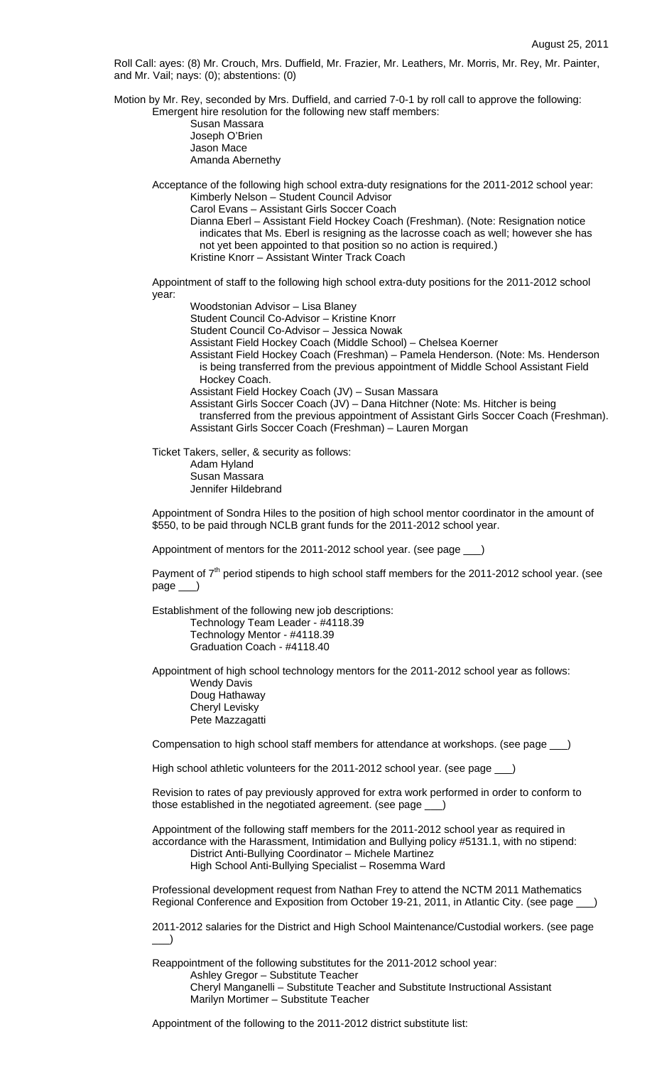Roll Call: ayes: (8) Mr. Crouch, Mrs. Duffield, Mr. Frazier, Mr. Leathers, Mr. Morris, Mr. Rey, Mr. Painter, and Mr. Vail; nays: (0); abstentions: (0)

Motion by Mr. Rey, seconded by Mrs. Duffield, and carried 7-0-1 by roll call to approve the following: Emergent hire resolution for the following new staff members:

> Susan Massara Joseph O'Brien Jason Mace Amanda Abernethy

 Acceptance of the following high school extra-duty resignations for the 2011-2012 school year: Kimberly Nelson – Student Council Advisor

Carol Evans – Assistant Girls Soccer Coach

Dianna Eberl – Assistant Field Hockey Coach (Freshman). (Note: Resignation notice indicates that Ms. Eberl is resigning as the lacrosse coach as well; however she has not yet been appointed to that position so no action is required.) Kristine Knorr – Assistant Winter Track Coach

Appointment of staff to the following high school extra-duty positions for the 2011-2012 school year:

Woodstonian Advisor – Lisa Blaney

Student Council Co-Advisor – Kristine Knorr

Student Council Co-Advisor – Jessica Nowak

Assistant Field Hockey Coach (Middle School) – Chelsea Koerner

Assistant Field Hockey Coach (Freshman) – Pamela Henderson. (Note: Ms. Henderson is being transferred from the previous appointment of Middle School Assistant Field Hockey Coach.

Assistant Field Hockey Coach (JV) – Susan Massara

Assistant Girls Soccer Coach (JV) – Dana Hitchner (Note: Ms. Hitcher is being transferred from the previous appointment of Assistant Girls Soccer Coach (Freshman). Assistant Girls Soccer Coach (Freshman) – Lauren Morgan

Ticket Takers, seller, & security as follows:

 Adam Hyland Susan Massara Jennifer Hildebrand

Appointment of Sondra Hiles to the position of high school mentor coordinator in the amount of \$550, to be paid through NCLB grant funds for the 2011-2012 school year.

Appointment of mentors for the 2011-2012 school year. (see page \_\_\_)

Payment of  $7<sup>th</sup>$  period stipends to high school staff members for the 2011-2012 school year. (see page \_\_\_)

Establishment of the following new job descriptions: Technology Team Leader - #4118.39 Technology Mentor - #4118.39 Graduation Coach - #4118.40

Appointment of high school technology mentors for the 2011-2012 school year as follows: Wendy Davis

Doug Hathaway Cheryl Levisky Pete Mazzagatti

Compensation to high school staff members for attendance at workshops. (see page \_\_\_)

High school athletic volunteers for the 2011-2012 school year. (see page \_\_\_)

Revision to rates of pay previously approved for extra work performed in order to conform to those established in the negotiated agreement. (see page \_\_\_)

Appointment of the following staff members for the 2011-2012 school year as required in accordance with the Harassment, Intimidation and Bullying policy #5131.1, with no stipend: District Anti-Bullying Coordinator – Michele Martinez High School Anti-Bullying Specialist – Rosemma Ward

Professional development request from Nathan Frey to attend the NCTM 2011 Mathematics Regional Conference and Exposition from October 19-21, 2011, in Atlantic City. (see page \_

2011-2012 salaries for the District and High School Maintenance/Custodial workers. (see page  $\rightarrow$ 

Reappointment of the following substitutes for the 2011-2012 school year: Ashley Gregor – Substitute Teacher Cheryl Manganelli – Substitute Teacher and Substitute Instructional Assistant Marilyn Mortimer – Substitute Teacher

Appointment of the following to the 2011-2012 district substitute list: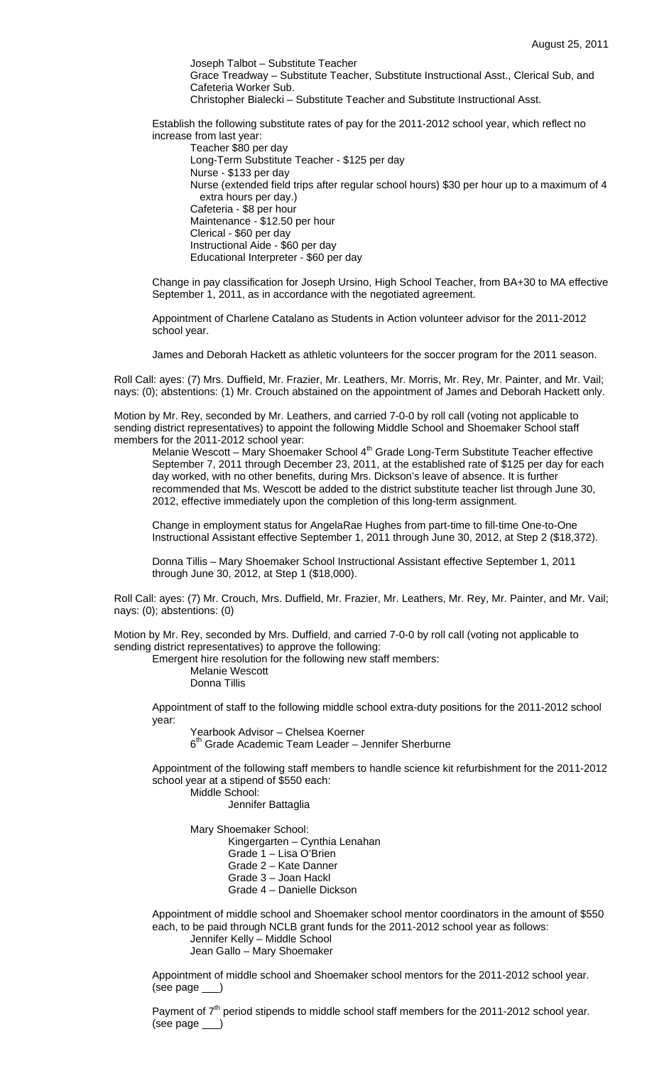Joseph Talbot – Substitute Teacher Grace Treadway – Substitute Teacher, Substitute Instructional Asst., Clerical Sub, and Cafeteria Worker Sub. Christopher Bialecki – Substitute Teacher and Substitute Instructional Asst.

Establish the following substitute rates of pay for the 2011-2012 school year, which reflect no increase from last year:

 Teacher \$80 per day Long-Term Substitute Teacher - \$125 per day Nurse - \$133 per day Nurse (extended field trips after regular school hours) \$30 per hour up to a maximum of 4 extra hours per day.) Cafeteria - \$8 per hour Maintenance - \$12.50 per hour Clerical - \$60 per day Instructional Aide - \$60 per day Educational Interpreter - \$60 per day

Change in pay classification for Joseph Ursino, High School Teacher, from BA+30 to MA effective September 1, 2011, as in accordance with the negotiated agreement.

Appointment of Charlene Catalano as Students in Action volunteer advisor for the 2011-2012 school year.

James and Deborah Hackett as athletic volunteers for the soccer program for the 2011 season.

Roll Call: ayes: (7) Mrs. Duffield, Mr. Frazier, Mr. Leathers, Mr. Morris, Mr. Rey, Mr. Painter, and Mr. Vail; nays: (0); abstentions: (1) Mr. Crouch abstained on the appointment of James and Deborah Hackett only.

Motion by Mr. Rey, seconded by Mr. Leathers, and carried 7-0-0 by roll call (voting not applicable to sending district representatives) to appoint the following Middle School and Shoemaker School staff members for the 2011-2012 school year:

Melanie Wescott - Mary Shoemaker School 4<sup>th</sup> Grade Long-Term Substitute Teacher effective September 7, 2011 through December 23, 2011, at the established rate of \$125 per day for each day worked, with no other benefits, during Mrs. Dickson's leave of absence. It is further recommended that Ms. Wescott be added to the district substitute teacher list through June 30, 2012, effective immediately upon the completion of this long-term assignment.

Change in employment status for AngelaRae Hughes from part-time to fill-time One-to-One Instructional Assistant effective September 1, 2011 through June 30, 2012, at Step 2 (\$18,372).

Donna Tillis – Mary Shoemaker School Instructional Assistant effective September 1, 2011 through June 30, 2012, at Step 1 (\$18,000).

Roll Call: ayes: (7) Mr. Crouch, Mrs. Duffield, Mr. Frazier, Mr. Leathers, Mr. Rey, Mr. Painter, and Mr. Vail; nays: (0); abstentions: (0)

Motion by Mr. Rey, seconded by Mrs. Duffield, and carried 7-0-0 by roll call (voting not applicable to sending district representatives) to approve the following:

Emergent hire resolution for the following new staff members:

 Melanie Wescott Donna Tillis

Appointment of staff to the following middle school extra-duty positions for the 2011-2012 school year:

 Yearbook Advisor – Chelsea Koerner  $6<sup>th</sup>$  Grade Academic Team Leader – Jennifer Sherburne

Appointment of the following staff members to handle science kit refurbishment for the 2011-2012 school year at a stipend of \$550 each:

Middle School:

Jennifer Battaglia

Mary Shoemaker School:

Kingergarten – Cynthia Lenahan

- Grade 1 Lisa O'Brien
- Grade 2 Kate Danner
- Grade 3 Joan Hackl
- Grade 4 Danielle Dickson

Appointment of middle school and Shoemaker school mentor coordinators in the amount of \$550 each, to be paid through NCLB grant funds for the 2011-2012 school year as follows: Jennifer Kelly – Middle School

Jean Gallo – Mary Shoemaker

Appointment of middle school and Shoemaker school mentors for the 2011-2012 school year. (see page \_\_\_)

Payment of  $7<sup>th</sup>$  period stipends to middle school staff members for the 2011-2012 school year. (see page \_\_\_)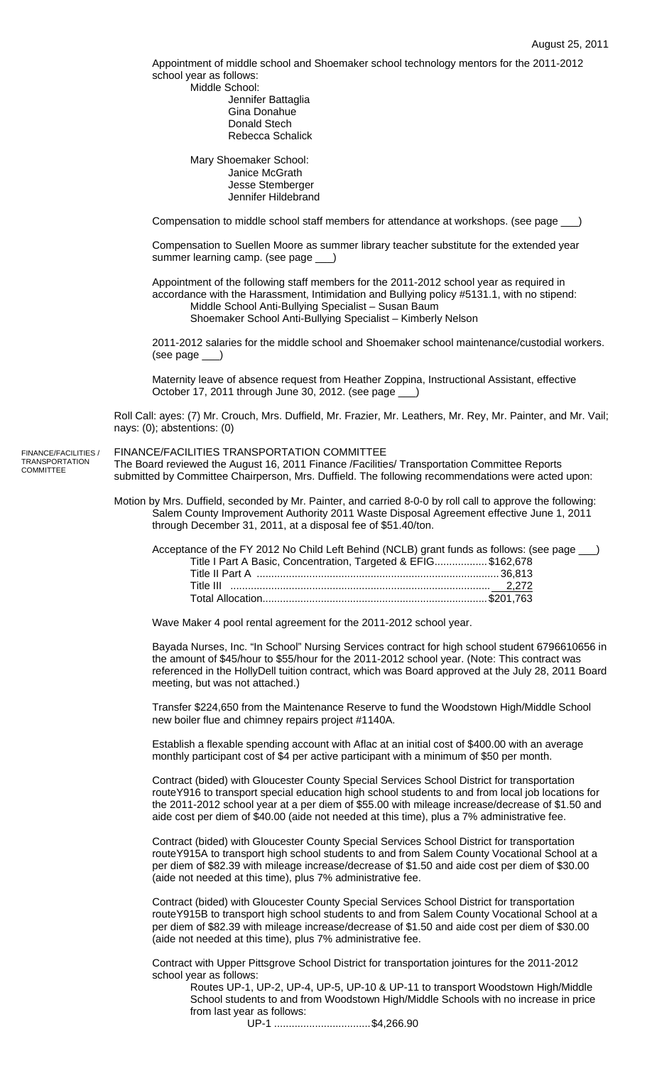Appointment of middle school and Shoemaker school technology mentors for the 2011-2012 school year as follows:

 Middle School: Jennifer Battaglia Gina Donahue Donald Stech Rebecca Schalick

 Mary Shoemaker School: Janice McGrath Jesse Stemberger Jennifer Hildebrand

Compensation to middle school staff members for attendance at workshops. (see page  $\_$ 

Compensation to Suellen Moore as summer library teacher substitute for the extended year summer learning camp. (see page \_\_\_)

Appointment of the following staff members for the 2011-2012 school year as required in accordance with the Harassment, Intimidation and Bullying policy #5131.1, with no stipend: Middle School Anti-Bullying Specialist – Susan Baum

Shoemaker School Anti-Bullying Specialist – Kimberly Nelson

2011-2012 salaries for the middle school and Shoemaker school maintenance/custodial workers. (see page \_\_\_)

Maternity leave of absence request from Heather Zoppina, Instructional Assistant, effective October 17, 2011 through June 30, 2012. (see page \_\_\_)

Roll Call: ayes: (7) Mr. Crouch, Mrs. Duffield, Mr. Frazier, Mr. Leathers, Mr. Rey, Mr. Painter, and Mr. Vail; nays: (0); abstentions: (0)

FINANCE/FACILITIES TRANSPORTATION COMMITTEE The Board reviewed the August 16, 2011 Finance /Facilities/ Transportation Committee Reports submitted by Committee Chairperson, Mrs. Duffield. The following recommendations were acted upon: FINANCE/FACILITIES / TRANSPORTATION COMMITTEE

> Motion by Mrs. Duffield, seconded by Mr. Painter, and carried 8-0-0 by roll call to approve the following: Salem County Improvement Authority 2011 Waste Disposal Agreement effective June 1, 2011 through December 31, 2011, at a disposal fee of \$51.40/ton.

| Acceptance of the FY 2012 No Child Left Behind (NCLB) grant funds as follows: (see page __) |  |
|---------------------------------------------------------------------------------------------|--|
| Title I Part A Basic, Concentration, Targeted & EFIG\$162,678                               |  |
|                                                                                             |  |
|                                                                                             |  |
|                                                                                             |  |

Wave Maker 4 pool rental agreement for the 2011-2012 school year.

Bayada Nurses, Inc. "In School" Nursing Services contract for high school student 6796610656 in the amount of \$45/hour to \$55/hour for the 2011-2012 school year. (Note: This contract was referenced in the HollyDell tuition contract, which was Board approved at the July 28, 2011 Board meeting, but was not attached.)

Transfer \$224,650 from the Maintenance Reserve to fund the Woodstown High/Middle School new boiler flue and chimney repairs project #1140A.

Establish a flexable spending account with Aflac at an initial cost of \$400.00 with an average monthly participant cost of \$4 per active participant with a minimum of \$50 per month.

Contract (bided) with Gloucester County Special Services School District for transportation routeY916 to transport special education high school students to and from local job locations for the 2011-2012 school year at a per diem of \$55.00 with mileage increase/decrease of \$1.50 and aide cost per diem of \$40.00 (aide not needed at this time), plus a 7% administrative fee.

Contract (bided) with Gloucester County Special Services School District for transportation routeY915A to transport high school students to and from Salem County Vocational School at a per diem of \$82.39 with mileage increase/decrease of \$1.50 and aide cost per diem of \$30.00 (aide not needed at this time), plus 7% administrative fee.

 Contract (bided) with Gloucester County Special Services School District for transportation routeY915B to transport high school students to and from Salem County Vocational School at a per diem of \$82.39 with mileage increase/decrease of \$1.50 and aide cost per diem of \$30.00 (aide not needed at this time), plus 7% administrative fee.

Contract with Upper Pittsgrove School District for transportation jointures for the 2011-2012 school year as follows:

Routes UP-1, UP-2, UP-4, UP-5, UP-10 & UP-11 to transport Woodstown High/Middle School students to and from Woodstown High/Middle Schools with no increase in price from last year as follows:

UP-1 .................................\$4,266.90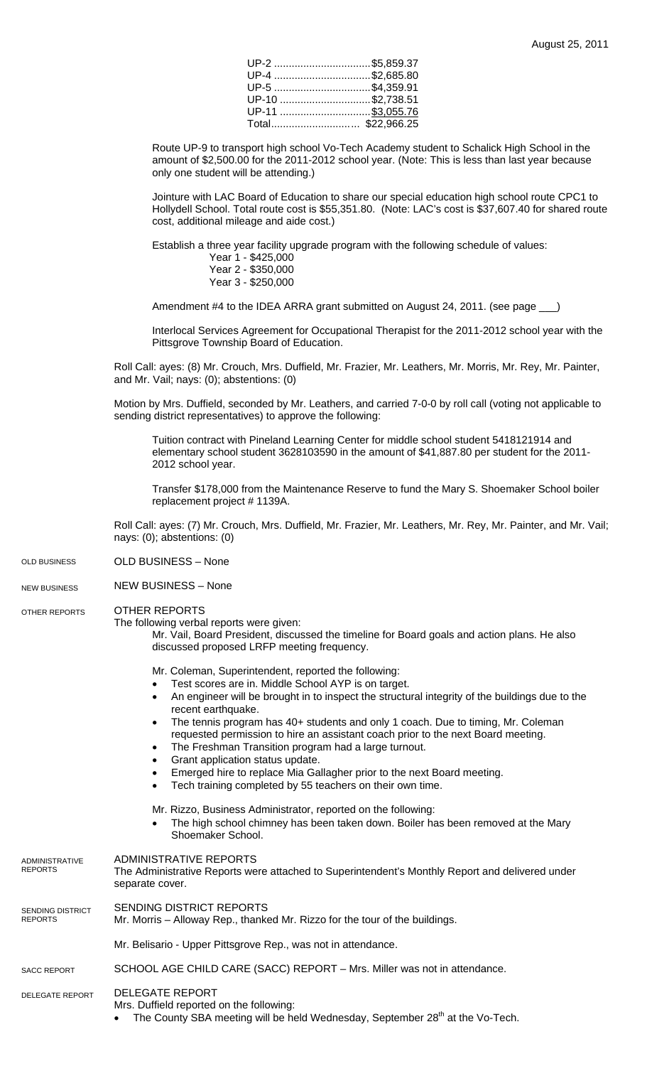| UP-2 \$5,859.37  |  |
|------------------|--|
| UP-4 \$2,685.80  |  |
| UP-5 \$4,359.91  |  |
| UP-10 \$2,738.51 |  |
| UP-11 \$3,055.76 |  |
| Total\$22,966.25 |  |

Route UP-9 to transport high school Vo-Tech Academy student to Schalick High School in the amount of \$2,500.00 for the 2011-2012 school year. (Note: This is less than last year because only one student will be attending.)

 Jointure with LAC Board of Education to share our special education high school route CPC1 to Hollydell School. Total route cost is \$55,351.80. (Note: LAC's cost is \$37,607.40 for shared route cost, additional mileage and aide cost.)

Establish a three year facility upgrade program with the following schedule of values:

Year 1 - \$425,000 Year 2 - \$350,000

Year 3 - \$250,000

Amendment #4 to the IDEA ARRA grant submitted on August 24, 2011. (see page \_\_)

Interlocal Services Agreement for Occupational Therapist for the 2011-2012 school year with the Pittsgrove Township Board of Education.

Roll Call: ayes: (8) Mr. Crouch, Mrs. Duffield, Mr. Frazier, Mr. Leathers, Mr. Morris, Mr. Rey, Mr. Painter, and Mr. Vail; nays: (0); abstentions: (0)

Motion by Mrs. Duffield, seconded by Mr. Leathers, and carried 7-0-0 by roll call (voting not applicable to sending district representatives) to approve the following:

Tuition contract with Pineland Learning Center for middle school student 5418121914 and elementary school student 3628103590 in the amount of \$41,887.80 per student for the 2011- 2012 school year.

Transfer \$178,000 from the Maintenance Reserve to fund the Mary S. Shoemaker School boiler replacement project # 1139A.

Roll Call: ayes: (7) Mr. Crouch, Mrs. Duffield, Mr. Frazier, Mr. Leathers, Mr. Rey, Mr. Painter, and Mr. Vail; nays: (0); abstentions: (0)

- OLD BUSINESS None OLD BUSINESS
- NEW BUSINESS None NEW BUSINESS

## OTHER REPORTS OTHER REPORTS

The following verbal reports were given:

Mr. Vail, Board President, discussed the timeline for Board goals and action plans. He also discussed proposed LRFP meeting frequency.

Mr. Coleman, Superintendent, reported the following:

- Test scores are in. Middle School AYP is on target.
- An engineer will be brought in to inspect the structural integrity of the buildings due to the recent earthquake.
- The tennis program has 40+ students and only 1 coach. Due to timing, Mr. Coleman requested permission to hire an assistant coach prior to the next Board meeting.
- The Freshman Transition program had a large turnout.
- Grant application status update.
- Emerged hire to replace Mia Gallagher prior to the next Board meeting.
- Tech training completed by 55 teachers on their own time.

## Mr. Rizzo, Business Administrator, reported on the following:

The high school chimney has been taken down. Boiler has been removed at the Mary Shoemaker School.

| ADMINISTRATIVE<br>REPORTS   | ADMINISTRATIVE REPORTS<br>The Administrative Reports were attached to Superintendent's Monthly Report and delivered under<br>separate cover.                                 |
|-----------------------------|------------------------------------------------------------------------------------------------------------------------------------------------------------------------------|
| SENDING DISTRICT<br>REPORTS | SENDING DISTRICT REPORTS<br>Mr. Morris – Alloway Rep., thanked Mr. Rizzo for the tour of the buildings.                                                                      |
|                             | Mr. Belisario - Upper Pittsgrove Rep., was not in attendance.                                                                                                                |
| <b>SACC REPORT</b>          | SCHOOL AGE CHILD CARE (SACC) REPORT – Mrs. Miller was not in attendance.                                                                                                     |
| <b>DELEGATE REPORT</b>      | <b>DELEGATE REPORT</b><br>Mrs. Duffield reported on the following:<br>The County SBA meeting will be held Wednesday, September 28 <sup>th</sup> at the Vo-Tech.<br>$\bullet$ |